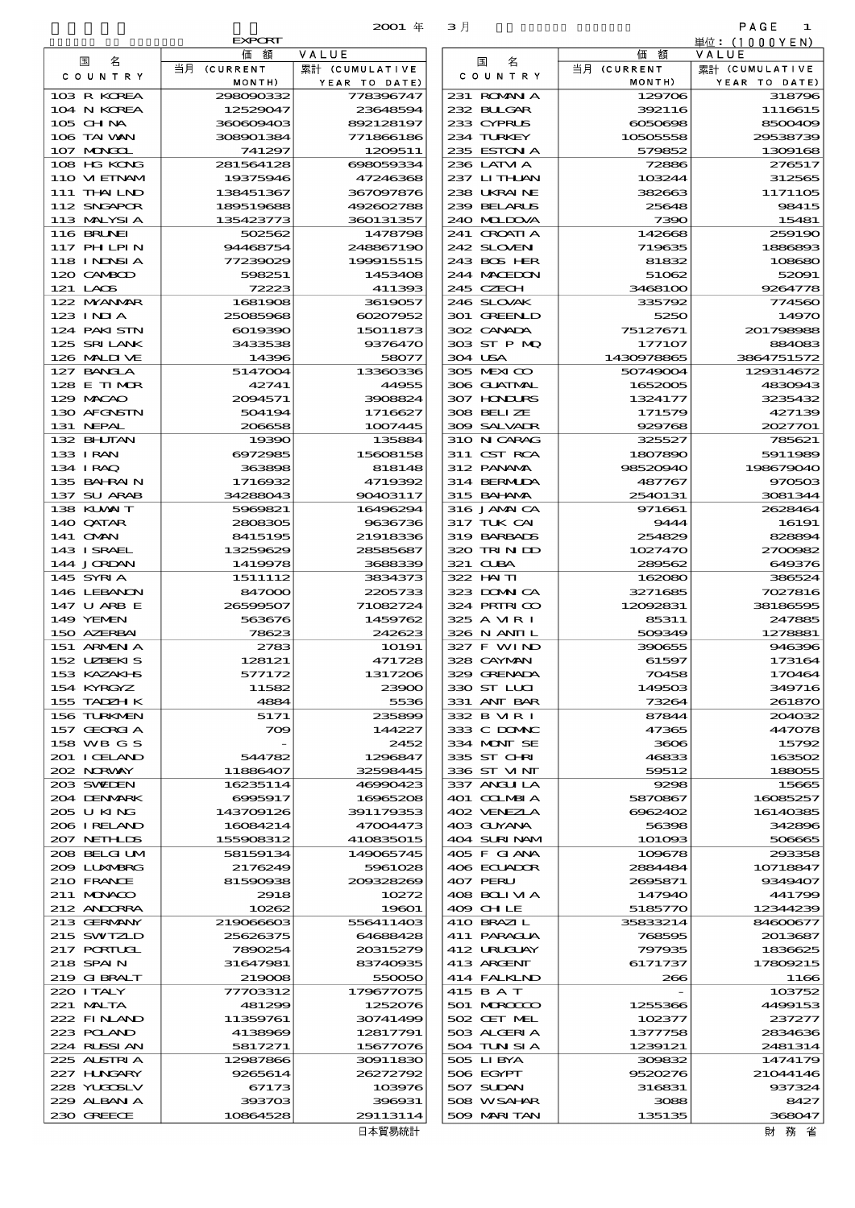|                             | <b>EXPORT</b>          |                        |                            |                     | 単位:(1000YEN)            |
|-----------------------------|------------------------|------------------------|----------------------------|---------------------|-------------------------|
| 名<br>国                      | 価額                     | VALUE                  | 国<br>名                     | 価額                  | VALUE                   |
| COUNTRY                     | 当月 (CURRENT            | 累計 (CUMULATIVE         | COUNTRY                    | 当月 (CURRENT         | 累計 (CUMULATIVE          |
| 103 R KOREA                 | MONTH)                 | YEAR TO DATE)          |                            | MONTH)              | YEAR TO DATE)<br>318796 |
| 104 N KOREA                 | 298090332<br>12529047  | 778396747<br>23648594  | 231 ROMANIA<br>232 BUGAR   | 129706<br>392116    | 1116615                 |
| $105$ CHNA                  | 360609403              | 892128197              | 233 CYPRUS                 | 6050698             | 8500406                 |
| 106 TAI WAN                 | 308901384              | 771866186              | 234 TURKEY                 | 10505558            | 29538739                |
| 107 MAGOL                   | 741297                 | 1209511                | 235 ESTON A                | 579852              | 1309168                 |
| 108 HG KONG                 | 281564128              | 698059334              | 236 LATVI A                | 72886               | 276517                  |
| 110 VIEINAM                 | 19375946               | 47246368               | 237 LITHLAN                | 103244              | 312565                  |
| 111 THAI LND                | 138451367              | 367097876              | 238 UKRAINE                | 382663              | 11711OE                 |
| 112 SNGAPOR<br>113 MALYSIA  | 189519688<br>135423773 | 492602788<br>360131357 | 239 BELARUS<br>240 MIDOVA  | 25648<br>7390       | 98415<br>15481          |
| <b>116 BRUNEI</b>           | 502562                 | 1478798                | 241 GROATIA                | 142668              | 259190                  |
| <b>117 PHLPIN</b>           | 94468754               | 248867190              | 242 SLOVEN                 | 719635              | 1886893                 |
| 118 I NDNSI A               | 77239029               | 199915515              | 243 BOS HER                | 81832               | 108680                  |
| 120 CAMBOD                  | 598251                 | 1453408                | 244 MACEDON                | 51062               | 52091                   |
| 121 LAOS                    | 72223                  | 411393                 | 245 CZECH                  | 3468100             | 9264778                 |
| 122 MYANAR                  | 1681908                | 3619057                | 246 SLOVAK                 | 335792              | 774560                  |
| $123$ INJA                  | 25085968<br>6019390    | 60207952               | 301 GREENLD<br>302 CANADA  | 5250<br>75127671    | 1497C<br>201798988      |
| 124 PAKISTN<br>125 SRILANK  | 3433538                | 15011873<br>9376470    | 303 ST P MQ                | 177107              | 88408                   |
| 126 MALINE                  | 14396                  | 58077                  | 304 USA                    | 1430978865          | 3864751572              |
| 127 BANCLA                  | 5147004                | 13360336               | 305 MEXICO                 | 50749004            | 129314672               |
| 128 E TIMOR                 | 42741                  | 44955                  | 306 GUATMAL                | 1652005             | 4830943                 |
| 129 MACAO                   | 2094571                | 3908824                | 307 HONDURS                | 1324177             | 3235432                 |
| 130 AFGNSTN                 | 504194                 | 1716627                | 308 BELIZE                 | 171579              | 427139                  |
| 131 NEPAL                   | 206658                 | 1007445                | 309 SALVADR                | 929768              | 2027701                 |
| 132 BHUTAN                  | 19390                  | 135884                 | 310 N CARAG                | 325527              | 785621                  |
| 133 I RAN<br>134 IRAQ       | 6972985<br>363898      | 15608158<br>818148     | 311 CST RCA<br>312 PANAMA  | 1807890<br>98520940 | 5911989<br>198679040    |
| 135 BAHRAIN                 | 1716932                | 4719392                | 314 BERMUDA                | 487767              | 970503                  |
| 137 SU ARAB                 | 34288043               | 90403117               | 315 BAI ANA                | 2540131             | 3081344                 |
| 138 KUWAIT                  | 5969821                | 16496294               | 316 JAMAICA                | 971661              | 2628464                 |
| 140 QATAR                   | 2808305                | 9636736                | 317 TUK CAI                | 9444                | 16191                   |
| 141 <b>OMN</b>              | 8415195                | 21918336               | 319 BARBADS                | 254829              | 828894                  |
| 143 ISRAEL<br>144 JORDAN    | 13259629<br>1419978    | 28585687<br>3688339    | 320 TRIN DD<br>321 CUBA    | 1027470<br>289562   | 2700982<br>649376       |
| 145 SYRIA                   | 1511112                | 3834373                | 322 HAITI                  | 162080              | 386524                  |
| 146 LEBANON                 | 847000                 | 2205733                | 323 DOMNICA                | 3271685             | 7027816                 |
| 147 U ARB E                 | 26599507               | 71082724               | 324 PRIRICO                | 12092831            | 38186595                |
| 149 YEMEN                   | 563676                 | 1459762                | 325 A VIR I                | 85311               | 247885                  |
| 150 AZERBAI                 | 78623                  | 242623                 | 326 N ANII L               | 509349              | 1278881                 |
| 151 ARMENIA                 | 2783                   | 10191                  | 327 F WIND<br>328 CAYMAN   | 390655              | 946396                  |
| 152 UZBEKIS<br>153 KAZAKI S | 128121<br>577172       | 471728<br>1317206      | 329 GRENADA                | 61597<br>70458      | 173164<br>170464        |
| 154 KYRGYZ                  | 11582                  | 23900                  | 330 ST LUI                 | 149503              | 349716                  |
| 155 TADZH K                 | 4884                   | 5536                   | 331 ANT BAR                | 73264               | 261870                  |
| 156 TURKNEN                 | 5171                   | 235899                 | 332 B MR I                 | 87844               | 204032                  |
| 157 GEORGIA                 | 709                    | 144227                 | 333 C DOMAC                | 47365               | 447078                  |
| 158 WB G S                  |                        | 2452                   | 334 MONT SE                | 3606                | 15792                   |
| 201 I CELAND<br>202 NRWAY   | 544782                 | 1296847                | 335 ST CHRI                | 46833               | 163502                  |
| 203 SWIEN                   | 11886407<br>16235114   | 32598445<br>46990423   | 336 ST VINT<br>337 ANGU LA | 59512<br>9298       | 188055<br>15665         |
| 204 DENMARK                 | 6995917                | 16965208               | 401 COLMBIA                | 5870867             | 16085257                |
| 205 U KING                  | 143709126              | 391179353              | 402 VENEZIA                | 6962402             | 16140385                |
| 206 I RELAND                | 16084214               | 47004473               | 403 GUYANA                 | 56398               | 342890                  |
| 207 NETHLIS                 | 155908312              | 410835015              | 404 SURINAM                | 101093              | 50666                   |
| 208 BELGI UM                | 58159134               | 149065745              | 405 F GIANA                | 109678              | 293358                  |
| 209 LUNABRG                 | 2176249                | 5961028                | 406 ECUADOR                | 2884484             | 10718847                |
| 210 FRANCE<br>211 MUNACO    | 81590938<br>2918       | 200328269<br>10272     | 407 PERU<br>408 BOLI VI A  | 2695871<br>147940   | 9349407<br>441799       |
| 212 ANDORRA                 | 10262                  | 19601                  | 409 CHLE                   | 5185770             | 12344239                |
| 213 GERMANY                 | 219066603              | 556411403              | 410 BRAZI L                | 35833214            | 84600677                |
| 215 SWIZLD                  | 25626375               | 64688428               | 411 PARAGUA                | 768595              | 2013687                 |
| 217 PORTUGL                 | 7890254                | 20315279               | 412 URUGUAY                | 797935              | 1836625                 |
| 218 SPAIN                   | 31647981               | 83740935               | 413 ARGENT                 | 6171737             | 17809215                |
| 219 GIBRALT                 | 219008                 | 550050                 | 414 FALKLND                | 266                 | 1166                    |
| 220 I TALY<br>221 MALTA     | 77703312<br>481299     | 179677075<br>1252076   | 415 B A T<br>501 MROCCO    | 1255366             | 103752<br>4499153       |
| 222 FINAND                  | 11359761               | 30741499               | 502 CET MEL                | 102377              | 23727.                  |
| 223 POLAND                  | 4138969                | 12817791               | 503 ALGERIA                | 1377758             | 2834636                 |
| 224 RUSSI AN                | 5817271                | 15677076               | 504 TUN SI A               | 1239121             | 2481314                 |
| 225 ALSTRIA                 | 12987866               | 30911830               | 505 LIBYA                  | 309832              | 1474179                 |
| 227 HNGARY                  | 9265614                | 26272792               | 506 EGYPT                  | 9520276             | 21044146                |
| 228 YUQOSLV                 | 67173                  | 103976                 | 507 SUDAN                  | 316831              | 937324                  |
| 229 ALBAN A                 | 393703                 | 396931                 | 508 WSAHAR                 | 3088                | 8427                    |
| 230 GREECE                  | 10864528               | 29113114<br>日本貿易統計     | 509 MARITAN                | 135135              | 368047<br>財 務 省         |
|                             |                        |                        |                            |                     |                         |

|                            | .                  | .<br>.            |
|----------------------------|--------------------|-------------------|
| 231 ROMAN A                | 129706             | 318796            |
| 232 BLLGAR                 | 392116             | 1116615           |
| 233 CYPRUS                 | 6050698            | 8500409           |
| 234 TURKEY                 | 10505558           | 29538739          |
| 235 ESTON A                | 579852             | 1309168           |
| 236 LATVI A<br>237 LITHLAN | 72886<br>103244    | 276517<br>312565  |
| 238 UKRAINE                | 382663             |                   |
| 239 BELARUS                | 25648              | 1171105<br>98415  |
| 240 MIDOVA                 | 7390               | 15481             |
| 241 GROATIA                | 142668             | 259190            |
| 242 SLOVEN                 | 719635             | 1886893           |
| 243 BOS HER                | 81832              | 108680            |
| 244 MACEDON                | 51062              | 52091             |
| 245 CZECH                  | 3468100            | 9264778           |
| 246 SLOVAK                 | 335792             | 774560            |
| 301 GREENLD                | 5250               | 14970             |
| 302 CANADA                 | 75127671           | 201798988         |
| 303 ST P MQ                | 177107             | 884083            |
| 304 USA                    | 1430978865         | 3864751572        |
| 305 MEXICO                 | 50749004           | 129314672         |
| 306 GUATMAL                | 1652005            | 4830943           |
| <b>307 HDDLRS</b>          | 1324177            | 3235432           |
| 308 BELIZE                 | 171579             | 427139            |
| 309 SALVADR                | 929768             | 2027701           |
| 310 N CARAG                | 325527             | 785621            |
| 311 CST RCA                | 1807890            | 5911989           |
| 312 PANAMA                 | 98520940           | 198679040         |
| 314 BERMIDA                | 487767             | 970503            |
| 315 BAHANAA                | 2540131            | 3081344           |
| 316 JAMAICA                | 971661             | 2628464           |
| 317 TUK CAI<br>319 BARBADS | 9444<br>254829     | 16191<br>828894   |
| 320 TRINDO                 | 1027470            | 2700982           |
| 321 CLBA                   | 289562             | 649376            |
| 322 HN TI                  | 162080             | 386524            |
| 323 DOMNICA                | 3271685            | 7027816           |
| <b>324 PRIRICO</b>         | 12092831           | 38186595          |
| 325 A VIR I                | 85311              | 247885            |
| 326 N ANII L               | 509349             | 1278881           |
| 327 F WIND                 | 390655             | 946396            |
| 328 CAYMAN                 | 61597              | 173164            |
| 329 GRENADA                | 70458              | 170464            |
| 330 ST LLCI                | 149503             | 349716            |
| 331 ANT BAR                | 73264              | 261870            |
| 332 B MR I                 | 87844              | 204032            |
| 333 C DOMAC                | 47365              | 447078            |
| 334 MONT SE                | 3606               | 15792             |
| 335 ST CHRI                | 46833              | 163502            |
| 336 ST VINT                | 59512              | 188055            |
| 337 ANGLIA                 | 9298               | 15665<br>16085257 |
| 401 COLMBIA                | 5870867<br>6962402 | 16140385          |
| 402 VENEZIA<br>403 GUYANA  | 56398              | 342896            |
| 404 SURINAM                | 101093             | 506665            |
| 405 F GIANA                | 109678             | 293358            |
| 406 ECUADOR                | 2884484            | 10718847          |
| 407 PERU                   | 2695871            | 9349407           |
| 408 BOLI VI A              | 147940             | 441799            |
| 409 CH LE                  | 5185770            | 12344239          |
| 410 BRAZIL                 | 35833214           | 84600677          |
| 411 PARAGUA                | 768595             | 2013687           |
| 412 URUCUAY                | 797935             | 1836625           |
| 413 ARGENT                 | 6171737            | 17809215          |
| 414 FALKIND                | 266                | 1166              |
| 415 B A T                  |                    | 103752            |
| 501 MAROCCO                | 1255366            | 4499153           |
| 502 CET MEL                | 102377             | 237277            |
| 503 ALGERIA                | 1377758            | 2834636           |
| 504 TUN SI A               | 1239121            | 2481314           |
| 505 LIBYA                  | 309832             | 1474179           |
| 506 EGYPT                  | 9520276            | 21044146          |
| 507 SUDAN<br>508 WSAHAR    | 316831             | 937324<br>8427    |
| 509 MARITAN                | 3088<br>135135     | 368047            |
|                            |                    |                   |

財務省